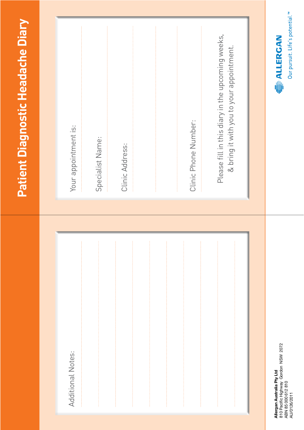| Our pursuit. Life's potential."<br><b>E ALLERGAN</b> | 810 Pacific Highway Gordon NSW 2072<br>Allergan Australia Pty Ltd<br>ABN 85 000 612 810<br>AU/0126/2011 |
|------------------------------------------------------|---------------------------------------------------------------------------------------------------------|
| & bring it with you to your appointment.             |                                                                                                         |
| Please fill in this diary in the upcoming weeks,     |                                                                                                         |
| Clinic Phone Number:                                 |                                                                                                         |
|                                                      |                                                                                                         |
|                                                      |                                                                                                         |
|                                                      |                                                                                                         |
| Clinic Address:                                      |                                                                                                         |
|                                                      |                                                                                                         |
| Specialist Name:                                     |                                                                                                         |
| Your appointment is:                                 | Additional Notes:                                                                                       |
|                                                      |                                                                                                         |
| Patient Diagnostic Headache Diary                    |                                                                                                         |